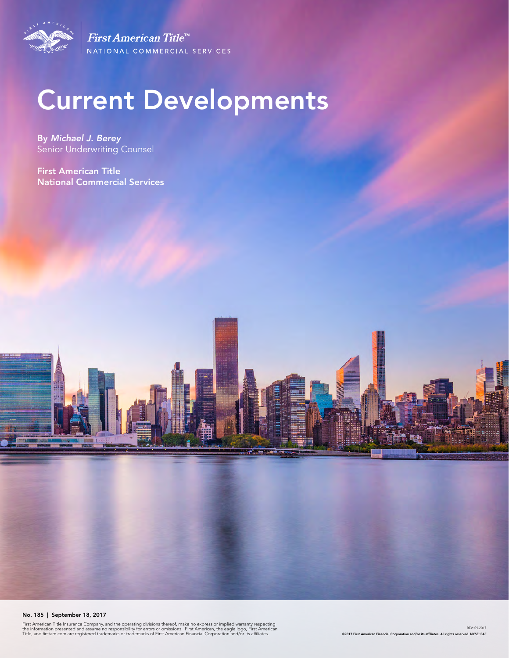

First American Title<sup>tt</sup> NATIONAL COMMERCIAL SERVICES

# Current Developments

By *Michael J. Berey*  Senior Underwriting Counsel

First American Title National Commercial Services

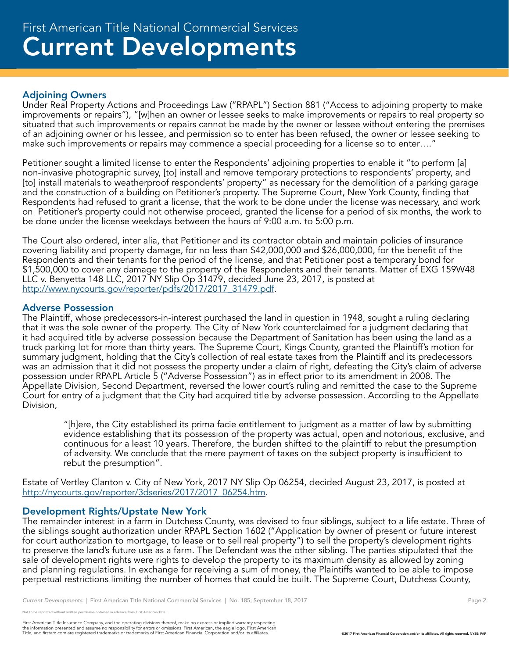# Adjoining Owners

Under Real Property Actions and Proceedings Law ("RPAPL") Section 881 ("Access to adjoining property to make improvements or repairs"), "[w]hen an owner or lessee seeks to make improvements or repairs to real property so situated that such improvements or repairs cannot be made by the owner or lessee without entering the premises of an adjoining owner or his lessee, and permission so to enter has been refused, the owner or lessee seeking to make such improvements or repairs may commence a special proceeding for a license so to enter…."

Petitioner sought a limited license to enter the Respondents' adjoining properties to enable it "to perform [a] non-invasive photographic survey, [to] install and remove temporary protections to respondents' property, and [to] install materials to weatherproof respondents' property" as necessary for the demolition of a parking garage and the construction of a building on Petitioner's property. The Supreme Court, New York County, finding that Respondents had refused to grant a license, that the work to be done under the license was necessary, and work on Petitioner's property could not otherwise proceed, granted the license for a period of six months, the work to be done under the license weekdays between the hours of 9:00 a.m. to 5:00 p.m.

The Court also ordered, inter alia, that Petitioner and its contractor obtain and maintain policies of insurance covering liability and property damage, for no less than \$42,000,000 and \$26,000,000, for the benefit of the Respondents and their tenants for the period of the license, and that Petitioner post a temporary bond for \$1,500,000 to cover any damage to the property of the Respondents and their tenants. Matter of EXG 159W48 LLC v. Benyetta 148 LLC, 2017 NY Slip Op 31479, decided June 23, 2017, is posted at http://www.nycourts.gov/reporter/pdfs/2017/2017\_31479.pdf.

# Adverse Possession

The Plaintiff, whose predecessors-in-interest purchased the land in question in 1948, sought a ruling declaring that it was the sole owner of the property. The City of New York counterclaimed for a judgment declaring that it had acquired title by adverse possession because the Department of Sanitation has been using the land as a truck parking lot for more than thirty years. The Supreme Court, Kings County, granted the Plaintiff's motion for summary judgment, holding that the City's collection of real estate taxes from the Plaintiff and its predecessors was an admission that it did not possess the property under a claim of right, defeating the City's claim of adverse possession under RPAPL Article 5 ("Adverse Possession") as in effect prior to its amendment in 2008. The Appellate Division, Second Department, reversed the lower court's ruling and remitted the case to the Supreme Court for entry of a judgment that the City had acquired title by adverse possession. According to the Appellate Division,

"[h]ere, the City established its prima facie entitlement to judgment as a matter of law by submitting evidence establishing that its possession of the property was actual, open and notorious, exclusive, and continuous for a least 10 years. Therefore, the burden shifted to the plaintiff to rebut the presumption of adversity. We conclude that the mere payment of taxes on the subject property is insufficient to rebut the presumption".

Estate of Vertley Clanton v. City of New York, 2017 NY Slip Op 06254, decided August 23, 2017, is posted at http://nycourts.gov/reporter/3dseries/2017/2017\_06254.htm.

# Development Rights/Upstate New York

The remainder interest in a farm in Dutchess County, was devised to four siblings, subject to a life estate. Three of the siblings sought authorization under RPAPL Section 1602 ("Application by owner of present or future interest for court authorization to mortgage, to lease or to sell real property") to sell the property's development rights to preserve the land's future use as a farm. The Defendant was the other sibling. The parties stipulated that the sale of development rights were rights to develop the property to its maximum density as allowed by zoning and planning regulations. In exchange for receiving a sum of money, the Plaintiffs wanted to be able to impose perpetual restrictions limiting the number of homes that could be built. The Supreme Court, Dutchess County,

<sup>.&</sup>lt;br>Note reprinted without written permission obtained in advance from First American Title.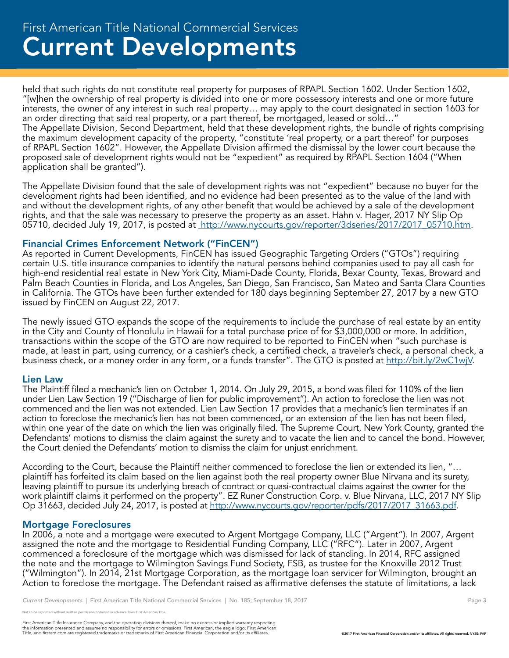# Current Developments First American Title National Commercial Services

held that such rights do not constitute real property for purposes of RPAPL Section 1602. Under Section 1602, "[w]hen the ownership of real property is divided into one or more possessory interests and one or more future interests, the owner of any interest in such real property… may apply to the court designated in section 1603 for an order directing that said real property, or a part thereof, be mortgaged, leased or sold…"

The Appellate Division, Second Department, held that these development rights, the bundle of rights comprising the maximum development capacity of the property, "constitute 'real property, or a part thereof' for purposes of RPAPL Section 1602". However, the Appellate Division affirmed the dismissal by the lower court because the proposed sale of development rights would not be "expedient" as required by RPAPL Section 1604 ("When application shall be granted").

The Appellate Division found that the sale of development rights was not "expedient" because no buyer for the development rights had been identified, and no evidence had been presented as to the value of the land with and without the development rights, of any other benefit that would be achieved by a sale of the development rights, and that the sale was necessary to preserve the property as an asset. Hahn v. Hager, 2017 NY Slip Op 05710, decided July 19, 2017, is posted at http://www.nycourts.gov/reporter/3dseries/2017/2017\_05710.htm.

# Financial Crimes Enforcement Network ("FinCEN")

As reported in Current Developments, FinCEN has issued Geographic Targeting Orders ("GTOs") requiring certain U.S. title insurance companies to identify the natural persons behind companies used to pay all cash for high-end residential real estate in New York City, Miami-Dade County, Florida, Bexar County, Texas, Broward and Palm Beach Counties in Florida, and Los Angeles, San Diego, San Francisco, San Mateo and Santa Clara Counties in California. The GTOs have been further extended for 180 days beginning September 27, 2017 by a new GTO issued by FinCEN on August 22, 2017.

The newly issued GTO expands the scope of the requirements to include the purchase of real estate by an entity in the City and County of Honolulu in Hawaii for a total purchase price of for \$3,000,000 or more. In addition, transactions within the scope of the GTO are now required to be reported to FinCEN when "such purchase is made, at least in part, using currency, or a cashier's check, a certified check, a traveler's check, a personal check, a business check, or a money order in any form, or a funds transfer". The GTO is posted at http://bit.ly/2wC1wjV.

#### Lien Law

The Plaintiff filed a mechanic's lien on October 1, 2014. On July 29, 2015, a bond was filed for 110% of the lien under Lien Law Section 19 ("Discharge of lien for public improvement"). An action to foreclose the lien was not commenced and the lien was not extended. Lien Law Section 17 provides that a mechanic's lien terminates if an action to foreclose the mechanic's lien has not been commenced, or an extension of the lien has not been filed, within one year of the date on which the lien was originally filed. The Supreme Court, New York County, granted the Defendants' motions to dismiss the claim against the surety and to vacate the lien and to cancel the bond. However, the Court denied the Defendants' motion to dismiss the claim for unjust enrichment.

According to the Court, because the Plaintiff neither commenced to foreclose the lien or extended its lien, "… plaintiff has forfeited its claim based on the lien against both the real property owner Blue Nirvana and its surety, leaving plaintiff to pursue its underlying breach of contract or quasi-contractual claims against the owner for the work plaintiff claims it performed on the property". EZ Runer Construction Corp. v. Blue Nirvana, LLC, 2017 NY Slip Op 31663, decided July 24, 2017, is posted at http://www.nycourts.gov/reporter/pdfs/2017/2017\_31663.pdf.

#### Mortgage Foreclosures

In 2006, a note and a mortgage were executed to Argent Mortgage Company, LLC ("Argent"). In 2007, Argent assigned the note and the mortgage to Residential Funding Company, LLC ("RFC"). Later in 2007, Argent commenced a foreclosure of the mortgage which was dismissed for lack of standing. In 2014, RFC assigned the note and the mortgage to Wilmington Savings Fund Society, FSB, as trustee for the Knoxville 2012 Trust ("Wilmington"). In 2014, 21st Mortgage Corporation, as the mortgage loan servicer for Wilmington, brought an Action to foreclose the mortgage. The Defendant raised as affirmative defenses the statute of limitations, a lack

e reprinted without written permission obtained in advance from First American Title.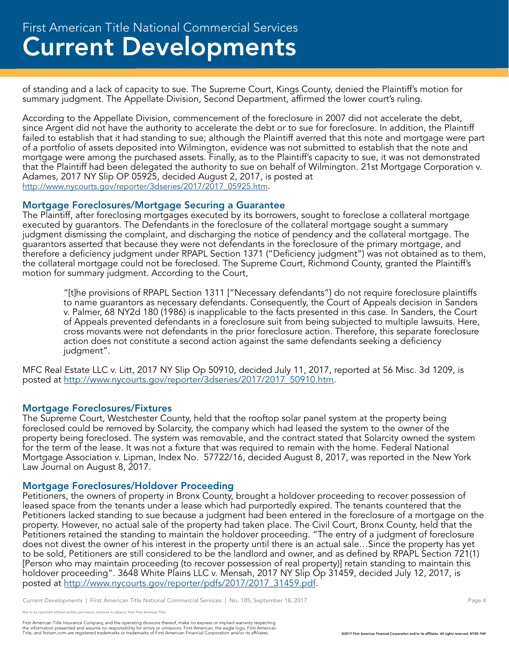# Current Developments First American Title National Commercial Services

of standing and a lack of capacity to sue. The Supreme Court, Kings County, denied the Plaintiff's motion for summary judgment. The Appellate Division, Second Department, affirmed the lower court's ruling.

According to the Appellate Division, commencement of the foreclosure in 2007 did not accelerate the debt, since Argent did not have the authority to accelerate the debt or to sue for foreclosure. In addition, the Plaintiff failed to establish that it had standing to sue; although the Plaintiff averred that this note and mortgage were part of a portfolio of assets deposited into Wilmington, evidence was not submitted to establish that the note and mortgage were among the purchased assets. Finally, as to the Plaintiff's capacity to sue, it was not demonstrated that the Plaintiff had been delegated the authority to sue on behalf of Wilmington. 21st Mortgage Corporation v. Adames, 2017 NY Slip OP 05925, decided August 2, 2017, is posted at http://www.nycourts.gov/reporter/3dseries/2017/2017\_05925.htm.

#### Mortgage Foreclosures/Mortgage Securing a Guarantee

The Plaintiff, after foreclosing mortgages executed by its borrowers, sought to foreclose a collateral mortgage executed by guarantors. The Defendants in the foreclosure of the collateral mortgage sought a summary judgment dismissing the complaint, and discharging the notice of pendency and the collateral mortgage. The guarantors asserted that because they were not defendants in the foreclosure of the primary mortgage, and therefore a deficiency judgment under RPAPL Section 1371 ("Deficiency judgment") was not obtained as to them, the collateral mortgage could not be foreclosed. The Supreme Court, Richmond County, granted the Plaintiff's motion for summary judgment. According to the Court,

"[t]he provisions of RPAPL Section 1311 ["Necessary defendants") do not require foreclosure plaintiffs to name guarantors as necessary defendants. Consequently, the Court of Appeals decision in Sanders v. Palmer, 68 NY2d 180 (1986) is inapplicable to the facts presented in this case. In Sanders, the Court of Appeals prevented defendants in a foreclosure suit from being subjected to multiple lawsuits. Here, cross movants were not defendants in the prior foreclosure action. Therefore, this separate foreclosure action does not constitute a second action against the same defendants seeking a deficiency judgment".

MFC Real Estate LLC v. Litt, 2017 NY Slip Op 50910, decided July 11, 2017, reported at 56 Misc. 3d 1209, is posted at http://www.nycourts.gov/reporter/3dseries/2017/2017\_50910.htm.

#### Mortgage Foreclosures/Fixtures

The Supreme Court, Westchester County, held that the rooftop solar panel system at the property being foreclosed could be removed by Solarcity, the company which had leased the system to the owner of the property being foreclosed. The system was removable, and the contract stated that Solarcity owned the system for the term of the lease. It was not a fixture that was required to remain with the home. Federal National Mortgage Association v. Lipman, Index No. 57722/16, decided August 8, 2017, was reported in the New York Law Journal on August 8, 2017.

# Mortgage Foreclosures/Holdover Proceeding

Petitioners, the owners of property in Bronx County, brought a holdover proceeding to recover possession of leased space from the tenants under a lease which had purportedly expired. The tenants countered that the Petitioners lacked standing to sue because a judgment had been entered in the foreclosure of a mortgage on the property. However, no actual sale of the property had taken place. The Civil Court, Bronx County, held that the Petitioners retained the standing to maintain the holdover proceeding. "The entry of a judgment of foreclosure does not divest the owner of his interest in the property until there is an actual sale…Since the property has yet to be sold, Petitioners are still considered to be the landlord and owner, and as defined by RPAPL Section 721(1) [Person who may maintain proceeding (to recover possession of real property)] retain standing to maintain this holdover proceeding". 3648 White Plains LLC v. Mensah, 2017 NY Slip Op 31459, decided July 12, 2017, is posted at http://www.nycourts.gov/reporter/pdfs/2017/2017\_31459.pdf.

*Current Developments* | First American Title National Commercial Services | No. 185; September 18, 2017 **Page 4** Page 4

e reprinted without written permission obtained in advance from First American Title.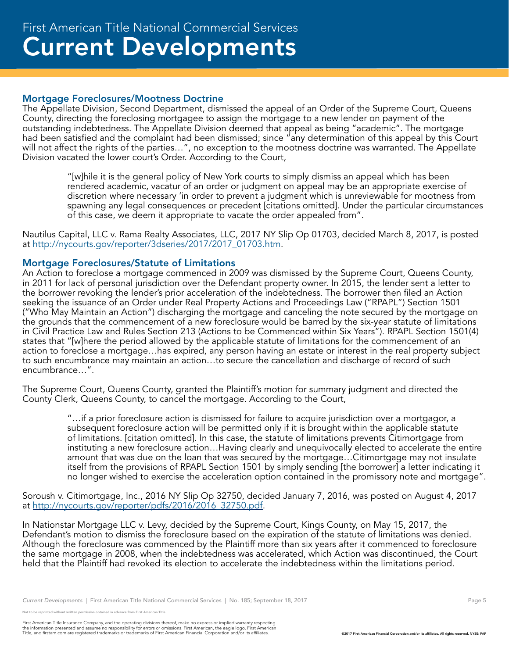#### Mortgage Foreclosures/Mootness Doctrine

The Appellate Division, Second Department, dismissed the appeal of an Order of the Supreme Court, Queens County, directing the foreclosing mortgagee to assign the mortgage to a new lender on payment of the outstanding indebtedness. The Appellate Division deemed that appeal as being "academic". The mortgage had been satisfied and the complaint had been dismissed; since "any determination of this appeal by this Court will not affect the rights of the parties…", no exception to the mootness doctrine was warranted. The Appellate Division vacated the lower court's Order. According to the Court,

"[w]hile it is the general policy of New York courts to simply dismiss an appeal which has been rendered academic, vacatur of an order or judgment on appeal may be an appropriate exercise of discretion where necessary 'in order to prevent a judgment which is unreviewable for mootness from spawning any legal consequences or precedent [citations omitted]. Under the particular circumstances of this case, we deem it appropriate to vacate the order appealed from".

Nautilus Capital, LLC v. Rama Realty Associates, LLC, 2017 NY Slip Op 01703, decided March 8, 2017, is posted at http://nycourts.gov/reporter/3dseries/2017/2017\_01703.htm.

#### Mortgage Foreclosures/Statute of Limitations

An Action to foreclose a mortgage commenced in 2009 was dismissed by the Supreme Court, Queens County, in 2011 for lack of personal jurisdiction over the Defendant property owner. In 2015, the lender sent a letter to the borrower revoking the lender's prior acceleration of the indebtedness. The borrower then filed an Action seeking the issuance of an Order under Real Property Actions and Proceedings Law ("RPAPL") Section 1501 ("Who May Maintain an Action") discharging the mortgage and canceling the note secured by the mortgage on the grounds that the commencement of a new foreclosure would be barred by the six-year statute of limitations in Civil Practice Law and Rules Section 213 (Actions to be Commenced within Six Years"). RPAPL Section 1501(4) states that "[w]here the period allowed by the applicable statute of limitations for the commencement of an action to foreclose a mortgage…has expired, any person having an estate or interest in the real property subject to such encumbrance may maintain an action…to secure the cancellation and discharge of record of such encumbrance…".

The Supreme Court, Queens County, granted the Plaintiff's motion for summary judgment and directed the County Clerk, Queens County, to cancel the mortgage. According to the Court,

> "…if a prior foreclosure action is dismissed for failure to acquire jurisdiction over a mortgagor, a subsequent foreclosure action will be permitted only if it is brought within the applicable statute of limitations. [citation omitted]. In this case, the statute of limitations prevents Citimortgage from instituting a new foreclosure action…Having clearly and unequivocally elected to accelerate the entire amount that was due on the loan that was secured by the mortgage…Citimortgage may not insulate itself from the provisions of RPAPL Section 1501 by simply sending [the borrower] a letter indicating it no longer wished to exercise the acceleration option contained in the promissory note and mortgage".

Soroush v. Citimortgage, Inc., 2016 NY Slip Op 32750, decided January 7, 2016, was posted on August 4, 2017 at http://nycourts.gov/reporter/pdfs/2016/2016\_32750.pdf.

In Nationstar Mortgage LLC v. Levy, decided by the Supreme Court, Kings County, on May 15, 2017, the Defendant's motion to dismiss the foreclosure based on the expiration of the statute of limitations was denied. Although the foreclosure was commenced by the Plaintiff more than six years after it commenced to foreclosure the same mortgage in 2008, when the indebtedness was accelerated, which Action was discontinued, the Court held that the Plaintiff had revoked its election to accelerate the indebtedness within the limitations period.

be reprinted without written permission obtained in advance from First American Title.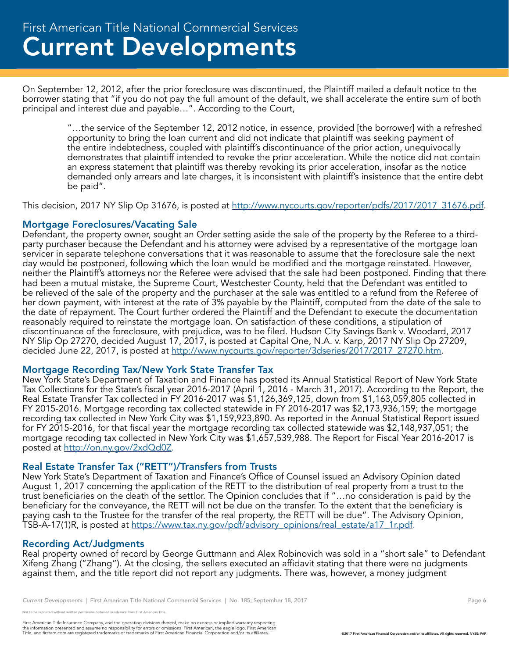On September 12, 2012, after the prior foreclosure was discontinued, the Plaintiff mailed a default notice to the borrower stating that "if you do not pay the full amount of the default, we shall accelerate the entire sum of both principal and interest due and payable…". According to the Court,

"…the service of the September 12, 2012 notice, in essence, provided [the borrower] with a refreshed opportunity to bring the loan current and did not indicate that plaintiff was seeking payment of the entire indebtedness, coupled with plaintiff's discontinuance of the prior action, unequivocally demonstrates that plaintiff intended to revoke the prior acceleration. While the notice did not contain an express statement that plaintiff was thereby revoking its prior acceleration, insofar as the notice demanded only arrears and late charges, it is inconsistent with plaintiff's insistence that the entire debt be paid".

This decision, 2017 NY Slip Op 31676, is posted at http://www.nycourts.gov/reporter/pdfs/2017/2017\_31676.pdf.

# Mortgage Foreclosures/Vacating Sale

Defendant, the property owner, sought an Order setting aside the sale of the property by the Referee to a thirdparty purchaser because the Defendant and his attorney were advised by a representative of the mortgage loan servicer in separate telephone conversations that it was reasonable to assume that the foreclosure sale the next day would be postponed, following which the loan would be modified and the mortgage reinstated. However, neither the Plaintiff's attorneys nor the Referee were advised that the sale had been postponed. Finding that there had been a mutual mistake, the Supreme Court, Westchester County, held that the Defendant was entitled to be relieved of the sale of the property and the purchaser at the sale was entitled to a refund from the Referee of her down payment, with interest at the rate of 3% payable by the Plaintiff, computed from the date of the sale to the date of repayment. The Court further ordered the Plaintiff and the Defendant to execute the documentation reasonably required to reinstate the mortgage loan. On satisfaction of these conditions, a stipulation of discontinuance of the foreclosure, with prejudice, was to be filed. Hudson City Savings Bank v. Woodard, 2017 NY Slip Op 27270, decided August 17, 2017, is posted at Capital One, N.A. v. Karp, 2017 NY Slip Op 27209, decided June 22, 2017, is posted at http://www.nycourts.gov/reporter/3dseries/2017/2017\_27270.htm.

# Mortgage Recording Tax/New York State Transfer Tax

New York State's Department of Taxation and Finance has posted its Annual Statistical Report of New York State Tax Collections for the State's fiscal year 2016-2017 (April 1, 2016 - March 31, 2017). According to the Report, the Real Estate Transfer Tax collected in FY 2016-2017 was \$1,126,369,125, down from \$1,163,059,805 collected in FY 2015-2016. Mortgage recording tax collected statewide in FY 2016-2017 was \$2,173,936,159; the mortgage recording tax collected in New York City was \$1,159,923,890. As reported in the Annual Statistical Report issued for FY 2015-2016, for that fiscal year the mortgage recording tax collected statewide was \$2,148,937,051; the mortgage recoding tax collected in New York City was \$1,657,539,988. The Report for Fiscal Year 2016-2017 is posted at http://on.ny.gov/2xdQd0Z.

# Real Estate Transfer Tax ("RETT")/Transfers from Trusts

New York State's Department of Taxation and Finance's Office of Counsel issued an Advisory Opinion dated August 1, 2017 concerning the application of the RETT to the distribution of real property from a trust to the trust beneficiaries on the death of the settlor. The Opinion concludes that if "…no consideration is paid by the beneficiary for the conveyance, the RETT will not be due on the transfer. To the extent that the beneficiary is paying cash to the Trustee for the transfer of the real property, the RETT will be due". The Advisory Opinion, TSB-A-17(1)R, is posted at https://www.tax.ny.gov/pdf/advisory\_opinions/real\_estate/a17\_1r.pdf.

# Recording Act/Judgments

Real property owned of record by George Guttmann and Alex Robinovich was sold in a "short sale" to Defendant Xifeng Zhang ("Zhang"). At the closing, the sellers executed an affidavit stating that there were no judgments against them, and the title report did not report any judgments. There was, however, a money judgment

*Current Developments* | First American Title National Commercial Services | No. 185; September 18, 2017 **Page 6** Page 6

e reprinted without written permission obtained in advance from First American Title.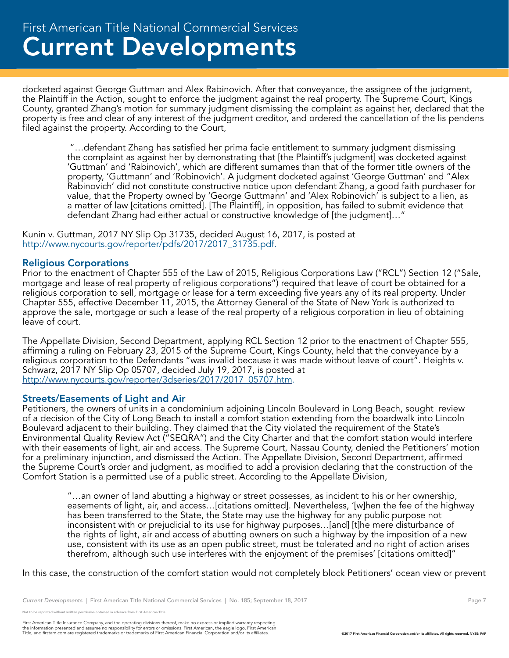docketed against George Guttman and Alex Rabinovich. After that conveyance, the assignee of the judgment, the Plaintiff in the Action, sought to enforce the judgment against the real property. The Supreme Court, Kings County, granted Zhang's motion for summary judgment dismissing the complaint as against her, declared that the property is free and clear of any interest of the judgment creditor, and ordered the cancellation of the lis pendens filed against the property. According to the Court,

 "…defendant Zhang has satisfied her prima facie entitlement to summary judgment dismissing the complaint as against her by demonstrating that [the Plaintiff's judgment] was docketed against 'Guttman' and 'Rabinovich', which are different surnames than that of the former title owners of the property, 'Guttmann' and 'Robinovich'. A judgment docketed against 'George Guttman' and "Alex Rabinovich' did not constitute constructive notice upon defendant Zhang, a good faith purchaser for value, that the Property owned by 'George Guttmann' and 'Alex Robinovich' is subject to a lien, as a matter of law [citations omitted]. [The Plaintiff], in opposition, has failed to submit evidence that defendant Zhang had either actual or constructive knowledge of [the judgment]…"

Kunin v. Guttman, 2017 NY Slip Op 31735, decided August 16, 2017, is posted at http://www.nycourts.gov/reporter/pdfs/2017/2017\_31735.pdf.

#### Religious Corporations

Prior to the enactment of Chapter 555 of the Law of 2015, Religious Corporations Law ("RCL") Section 12 ("Sale, mortgage and lease of real property of religious corporations") required that leave of court be obtained for a religious corporation to sell, mortgage or lease for a term exceeding five years any of its real property. Under Chapter 555, effective December 11, 2015, the Attorney General of the State of New York is authorized to approve the sale, mortgage or such a lease of the real property of a religious corporation in lieu of obtaining leave of court.

The Appellate Division, Second Department, applying RCL Section 12 prior to the enactment of Chapter 555, affirming a ruling on February 23, 2015 of the Supreme Court, Kings County, held that the conveyance by a religious corporation to the Defendants "was invalid because it was made without leave of court". Heights v. Schwarz, 2017 NY Slip Op 05707, decided July 19, 2017, is posted at http://www.nycourts.gov/reporter/3dseries/2017/2017\_05707.htm.

#### Streets/Easements of Light and Air

Petitioners, the owners of units in a condominium adjoining Lincoln Boulevard in Long Beach, sought review of a decision of the City of Long Beach to install a comfort station extending from the boardwalk into Lincoln Boulevard adjacent to their building. They claimed that the City violated the requirement of the State's Environmental Quality Review Act ("SEQRA") and the City Charter and that the comfort station would interfere with their easements of light, air and access. The Supreme Court, Nassau County, denied the Petitioners' motion for a preliminary injunction, and dismissed the Action. The Appellate Division, Second Department, affirmed the Supreme Court's order and judgment, as modified to add a provision declaring that the construction of the Comfort Station is a permitted use of a public street. According to the Appellate Division,

"…an owner of land abutting a highway or street possesses, as incident to his or her ownership, easements of light, air, and access…[citations omitted]. Nevertheless, '[w]hen the fee of the highway has been transferred to the State, the State may use the highway for any public purpose not inconsistent with or prejudicial to its use for highway purposes…[and] [t]he mere disturbance of the rights of light, air and access of abutting owners on such a highway by the imposition of a new use, consistent with its use as an open public street, must be tolerated and no right of action arises therefrom, although such use interferes with the enjoyment of the premises' [citations omitted]"

In this case, the construction of the comfort station would not completely block Petitioners' ocean view or prevent